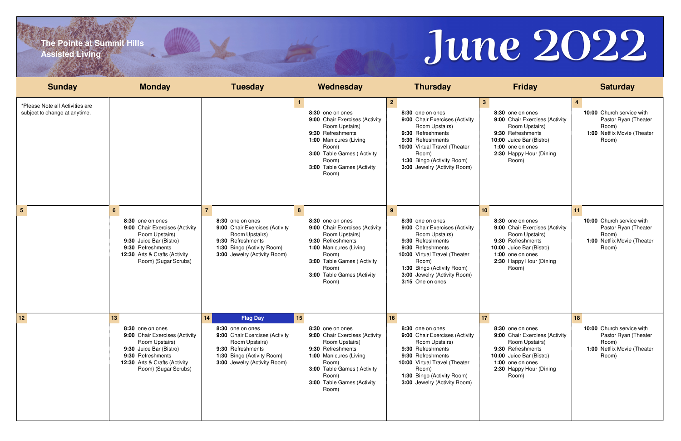# **The Pointe at Summit Hills Assisted Living**

| <b>Sunday</b>                                                    | <b>Monday</b>                                                                                                                                                                       | <b>Tuesday</b>                                                                                                                                                                   | Wednesday                                                                                                                                                                                                        | <b>Thursday</b>                                                                                                                                                                                                                                              | <b>Friday</b>                                                                                                                                                                                   | <b>Saturday</b>                                                                                          |
|------------------------------------------------------------------|-------------------------------------------------------------------------------------------------------------------------------------------------------------------------------------|----------------------------------------------------------------------------------------------------------------------------------------------------------------------------------|------------------------------------------------------------------------------------------------------------------------------------------------------------------------------------------------------------------|--------------------------------------------------------------------------------------------------------------------------------------------------------------------------------------------------------------------------------------------------------------|-------------------------------------------------------------------------------------------------------------------------------------------------------------------------------------------------|----------------------------------------------------------------------------------------------------------|
| *Please Note all Activities are<br>subject to change at anytime. |                                                                                                                                                                                     |                                                                                                                                                                                  | 8:30 one on ones<br>9:00 Chair Exercises (Activity<br>Room Upstairs)<br>9:30 Refreshments<br>1:00 Manicures (Living<br>Room)<br>3:00 Table Games (Activity<br>Room)<br>3:00 Table Games (Activity<br>Room)       | 2 <sup>1</sup><br>8:30 one on ones<br>9:00 Chair Exercises (Activity<br>Room Upstairs)<br>9:30 Refreshments<br>9:30 Refreshments<br>10:00 Virtual Travel (Theater<br>Room)<br>1:30 Bingo (Activity Room)<br>3:00 Jewelry (Activity Room)                     | 3 <sup>1</sup><br>8:30 one on ones<br>9:00 Chair Exercises (Activity<br>Room Upstairs)<br>9:30 Refreshments<br>10:00 Juice Bar (Bistro)<br>1:00 one on ones<br>2:30 Happy Hour (Dining<br>Room) | 10:00 Church service with<br>Pastor Ryan (Theater<br>Room)<br>1:00 Netflix Movie (Theater<br>Room)       |
| $5^{\circ}$                                                      | 6<br>8:30 one on ones<br>9:00 Chair Exercises (Activity<br>Room Upstairs)<br>9:30 Juice Bar (Bistro)<br>9:30 Refreshments<br>12:30 Arts & Crafts (Activity<br>Room) (Sugar Scrubs)  | 8:30 one on ones<br>9:00 Chair Exercises (Activity<br>Room Upstairs)<br>9:30 Refreshments<br>1:30 Bingo (Activity Room)<br>3:00 Jewelry (Activity Room)                          | 8<br>8:30 one on ones<br>9:00 Chair Exercises (Activity<br>Room Upstairs)<br>9:30 Refreshments<br>1:00 Manicures (Living<br>Room)<br>3:00 Table Games (Activity<br>Room)<br>3:00 Table Games (Activity<br>Room)  | 9 <sup>°</sup><br>8:30 one on ones<br>9:00 Chair Exercises (Activity<br>Room Upstairs)<br>9:30 Refreshments<br>9:30 Refreshments<br>10:00 Virtual Travel (Theater<br>Room)<br>1:30 Bingo (Activity Room)<br>3:00 Jewelry (Activity Room)<br>3:15 One on ones | 10<br>8:30 one on ones<br>9:00 Chair Exercises (Activity<br>Room Upstairs)<br>9:30 Refreshments<br>10:00 Juice Bar (Bistro)<br>1:00 one on ones<br>2:30 Happy Hour (Dining<br>Room)             | 11<br>10:00 Church service with<br>Pastor Ryan (Theater<br>Room)<br>1:00 Netflix Movie (Theater<br>Room) |
| 12                                                               | 13<br>8:30 one on ones<br>9:00 Chair Exercises (Activity<br>Room Upstairs)<br>9:30 Juice Bar (Bistro)<br>9:30 Refreshments<br>12:30 Arts & Crafts (Activity<br>Room) (Sugar Scrubs) | 14<br><b>Flag Day</b><br>8:30 one on ones<br>9:00 Chair Exercises (Activity<br>Room Upstairs)<br>9:30 Refreshments<br>1:30 Bingo (Activity Room)<br>3:00 Jewelry (Activity Room) | 15<br>8:30 one on ones<br>9:00 Chair Exercises (Activity<br>Room Upstairs)<br>9:30 Refreshments<br>1:00 Manicures (Living<br>Room)<br>3:00 Table Games (Activity<br>Room)<br>3:00 Table Games (Activity<br>Room) | 16<br>8:30 one on ones<br>9:00 Chair Exercises (Activity<br>Room Upstairs)<br>9:30 Refreshments<br>9:30 Refreshments<br>10:00 Virtual Travel (Theater<br>Room)<br>1:30 Bingo (Activity Room)<br>3:00 Jewelry (Activity Room)                                 | 17<br>8:30 one on ones<br>9:00 Chair Exercises (Activity<br>Room Upstairs)<br>9:30 Refreshments<br>10:00 Juice Bar (Bistro)<br>1:00 one on ones<br>2:30 Happy Hour (Dining<br>Room)             | 18<br>10:00 Church service with<br>Pastor Ryan (Theater<br>Room)<br>1:00 Netflix Movie (Theater<br>Room) |